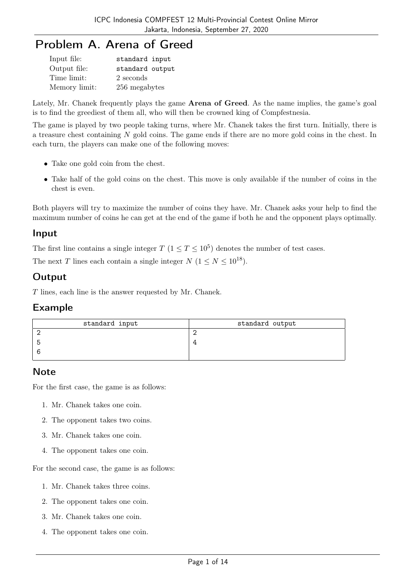# Problem A. Arena of Greed

| Input file:   | standard input  |
|---------------|-----------------|
| Output file:  | standard output |
| Time limit:   | 2 seconds       |
| Memory limit: | 256 megabytes   |

Lately, Mr. Chanek frequently plays the game **Arena of Greed**. As the name implies, the game's goal is to find the greediest of them all, who will then be crowned king of Compfestnesia.

The game is played by two people taking turns, where Mr. Chanek takes the first turn. Initially, there is a treasure chest containing N gold coins. The game ends if there are no more gold coins in the chest. In each turn, the players can make one of the following moves:

- Take one gold coin from the chest.
- Take half of the gold coins on the chest. This move is only available if the number of coins in the chest is even.

Both players will try to maximize the number of coins they have. Mr. Chanek asks your help to find the maximum number of coins he can get at the end of the game if both he and the opponent plays optimally.

#### Input

The first line contains a single integer  $T$   $(1 \le T \le 10^5)$  denotes the number of test cases.

The next T lines each contain a single integer  $N$   $(1 \le N \le 10^{18})$ .

## **Output**

T lines, each line is the answer requested by Mr. Chanek.

### Example

| standard input | standard output |
|----------------|-----------------|
|                |                 |
|                |                 |
|                |                 |
|                |                 |

## **Note**

For the first case, the game is as follows:

- 1. Mr. Chanek takes one coin.
- 2. The opponent takes two coins.
- 3. Mr. Chanek takes one coin.
- 4. The opponent takes one coin.

For the second case, the game is as follows:

- 1. Mr. Chanek takes three coins.
- 2. The opponent takes one coin.
- 3. Mr. Chanek takes one coin.
- 4. The opponent takes one coin.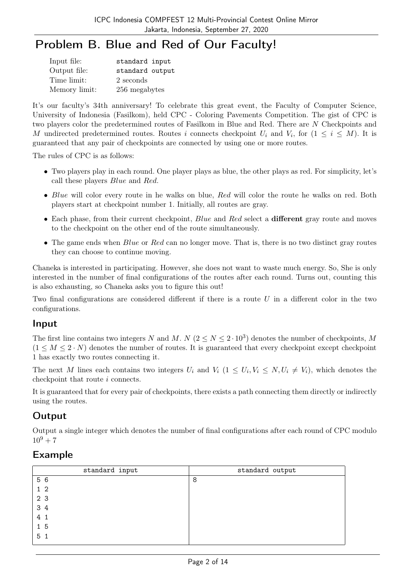# Problem B. Blue and Red of Our Faculty!

| Input file:   | standard input  |
|---------------|-----------------|
| Output file:  | standard output |
| Time limit:   | 2 seconds       |
| Memory limit: | 256 megabytes   |

It's our faculty's 34th anniversary! To celebrate this great event, the Faculty of Computer Science, University of Indonesia (Fasilkom), held CPC - Coloring Pavements Competition. The gist of CPC is two players color the predetermined routes of Fasilkom in Blue and Red. There are N Checkpoints and M undirected predetermined routes. Routes i connects checkpoint  $U_i$  and  $V_i$ , for  $(1 \leq i \leq M)$ . It is guaranteed that any pair of checkpoints are connected by using one or more routes.

The rules of CPC is as follows:

- Two players play in each round. One player plays as blue, the other plays as red. For simplicity, let's call these players Blue and Red.
- Blue will color every route in he walks on blue, Red will color the route he walks on red. Both players start at checkpoint number 1. Initially, all routes are gray.
- Each phase, from their current checkpoint,  $Blue$  and  $Red$  select a different gray route and moves to the checkpoint on the other end of the route simultaneously.
- The game ends when  $Blue$  or  $Red$  can no longer move. That is, there is no two distinct gray routes they can choose to continue moving.

Chaneka is interested in participating. However, she does not want to waste much energy. So, She is only interested in the number of final configurations of the routes after each round. Turns out, counting this is also exhausting, so Chaneka asks you to figure this out!

Two final configurations are considered different if there is a route  $U$  in a different color in the two configurations.

### Input

The first line contains two integers N and M. N  $(2 \le N \le 2 \cdot 10^3)$  denotes the number of checkpoints, M  $(1 \leq M \leq 2 \cdot N)$  denotes the number of routes. It is guaranteed that every checkpoint except checkpoint 1 has exactly two routes connecting it.

The next M lines each contains two integers  $U_i$  and  $V_i$   $(1 \leq U_i, V_i \leq N, U_i \neq V_i)$ , which denotes the checkpoint that route i connects.

It is guaranteed that for every pair of checkpoints, there exists a path connecting them directly or indirectly using the routes.

## Output

Output a single integer which denotes the number of final configurations after each round of CPC modulo  $10^9 + 7$ 

## Example

| standard input | standard output |
|----------------|-----------------|
| 5 6            | 8               |
| $1\,2$         |                 |
| 2 3            |                 |
| 3 4            |                 |
| 4 1            |                 |
| 1 <sub>5</sub> |                 |
| 5 <sub>1</sub> |                 |
|                |                 |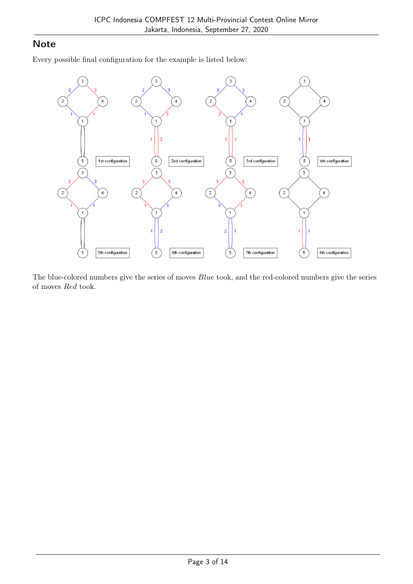### **Note**

Every possible final configuration for the example is listed below:



The blue-colored numbers give the series of moves  $Blue$  took, and the red-colored numbers give the series of moves Red took.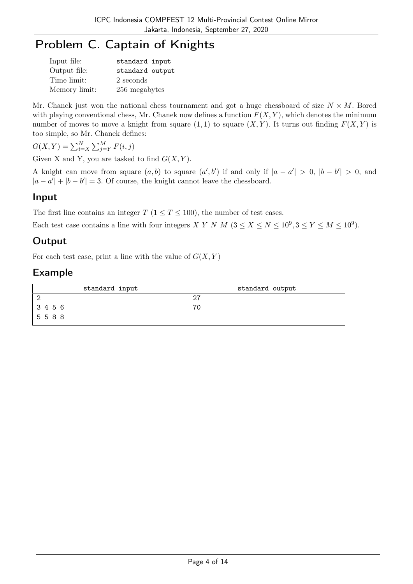# Problem C. Captain of Knights

| Input file:   | standard input  |
|---------------|-----------------|
| Output file:  | standard output |
| Time limit:   | 2 seconds       |
| Memory limit: | 256 megabytes   |

Mr. Chanek just won the national chess tournament and got a huge chessboard of size  $N \times M$ . Bored with playing conventional chess, Mr. Chanek now defines a function  $F(X, Y)$ , which denotes the minimum number of moves to move a knight from square  $(1, 1)$  to square  $(X, Y)$ . It turns out finding  $F(X, Y)$  is too simple, so Mr. Chanek defines:

 $G(X,Y) = \sum_{i=X}^{N} \sum_{j=Y}^{M} F(i,j)$ 

Given X and Y, you are tasked to find  $G(X, Y)$ .

A knight can move from square  $(a, b)$  to square  $(a', b')$  if and only if  $|a - a'| > 0$ ,  $|b - b'| > 0$ , and  $|a - a'| + |b - b'| = 3$ . Of course, the knight cannot leave the chessboard.

### Input

The first line contains an integer  $T$  ( $1 \le T \le 100$ ), the number of test cases.

Each test case contains a line with four integers X Y N M  $(3 \le X \le N \le 10^9, 3 \le Y \le M \le 10^9)$ .

## **Output**

For each test case, print a line with the value of  $G(X, Y)$ 

## Example

| standard input | standard output |
|----------------|-----------------|
| 2              | 27              |
| 3456           | 70              |
| 5588           |                 |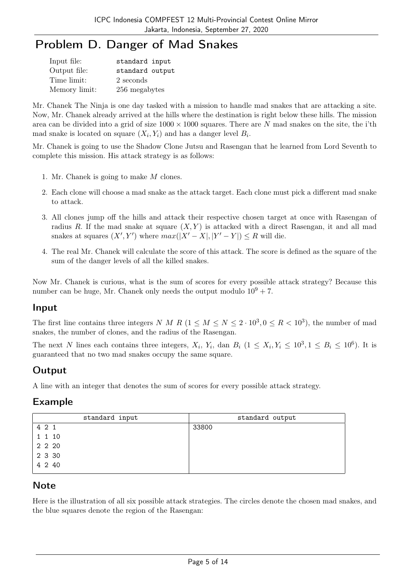# Problem D. Danger of Mad Snakes

| Input file:   | standard input  |
|---------------|-----------------|
| Output file:  | standard output |
| Time limit:   | 2 seconds       |
| Memory limit: | 256 megabytes   |

Mr. Chanek The Ninja is one day tasked with a mission to handle mad snakes that are attacking a site. Now, Mr. Chanek already arrived at the hills where the destination is right below these hills. The mission area can be divided into a grid of size  $1000 \times 1000$  squares. There are N mad snakes on the site, the i'th mad snake is located on square  $(X_i, Y_i)$  and has a danger level  $B_i$ .

Mr. Chanek is going to use the Shadow Clone Jutsu and Rasengan that he learned from Lord Seventh to complete this mission. His attack strategy is as follows:

- 1. Mr. Chanek is going to make M clones.
- 2. Each clone will choose a mad snake as the attack target. Each clone must pick a different mad snake to attack.
- 3. All clones jump off the hills and attack their respective chosen target at once with Rasengan of radius R. If the mad snake at square  $(X, Y)$  is attacked with a direct Rasengan, it and all mad snakes at squares  $(X', Y')$  where  $max(|X'-X|, |Y'-Y|) \leq R$  will die.
- 4. The real Mr. Chanek will calculate the score of this attack. The score is defined as the square of the sum of the danger levels of all the killed snakes.

Now Mr. Chanek is curious, what is the sum of scores for every possible attack strategy? Because this number can be huge, Mr. Chanek only needs the output modulo  $10^9 + 7$ .

## Input

The first line contains three integers N M R  $(1 \leq M \leq N \leq 2 \cdot 10^3, 0 \leq R < 10^3)$ , the number of mad snakes, the number of clones, and the radius of the Rasengan.

The next N lines each contains three integers,  $X_i$ ,  $Y_i$ , dan  $B_i$   $(1 \le X_i, Y_i \le 10^3, 1 \le B_i \le 10^6)$ . It is guaranteed that no two mad snakes occupy the same square.

## Output

A line with an integer that denotes the sum of scores for every possible attack strategy.

### Example

| standard input | standard output |
|----------------|-----------------|
| 4 2 1          | 33800           |
| 1 1 10         |                 |
| 2 2 2 0        |                 |
| 2 3 30         |                 |
| 4 2 40         |                 |

### **Note**

Here is the illustration of all six possible attack strategies. The circles denote the chosen mad snakes, and the blue squares denote the region of the Rasengan: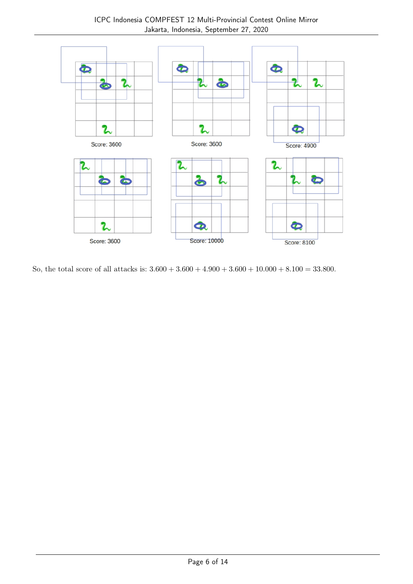

So, the total score of all attacks is:  $3.600 + 3.600 + 4.900 + 3.600 + 10.000 + 8.100 = 33.800$ .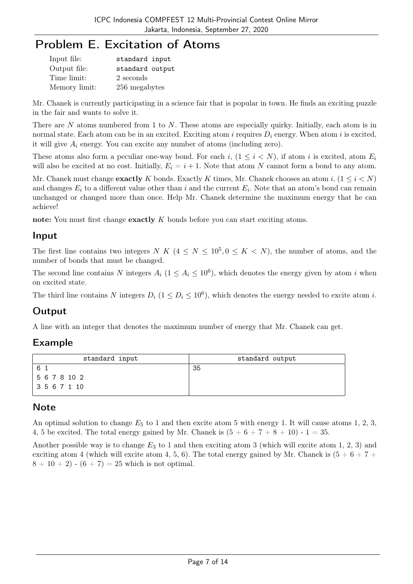## Problem E. Excitation of Atoms

| Input file:   | standard input  |
|---------------|-----------------|
| Output file:  | standard output |
| Time limit:   | 2 seconds       |
| Memory limit: | 256 megabytes   |

Mr. Chanek is currently participating in a science fair that is popular in town. He finds an exciting puzzle in the fair and wants to solve it.

There are N atoms numbered from 1 to N. These atoms are especially quirky. Initially, each atom is in normal state. Each atom can be in an excited. Exciting atom i requires  $D_i$  energy. When atom i is excited, it will give  $A_i$  energy. You can excite any number of atoms (including zero).

These atoms also form a peculiar one-way bond. For each i,  $(1 \le i \le N)$ , if atom i is excited, atom  $E_i$ will also be excited at no cost. Initially,  $E_i = i + 1$ . Note that atom N cannot form a bond to any atom.

Mr. Chanek must change **exactly** K bonds. Exactly K times, Mr. Chanek chooses an atom i,  $(1 \le i \le N)$ and changes  $E_i$  to a different value other than i and the current  $E_i$ . Note that an atom's bond can remain unchanged or changed more than once. Help Mr. Chanek determine the maximum energy that he can achieve!

note: You must first change exactly K bonds before you can start exciting atoms.

### Input

The first line contains two integers N K  $(4 \leq N \leq 10^5, 0 \leq K \leq N)$ , the number of atoms, and the number of bonds that must be changed.

The second line contains N integers  $A_i$  ( $1 \leq A_i \leq 10^6$ ), which denotes the energy given by atom i when on excited state.

The third line contains N integers  $D_i$   $(1 \le D_i \le 10^6)$ , which denotes the energy needed to excite atom i.

## Output

A line with an integer that denotes the maximum number of energy that Mr. Chanek can get.

### Example

| standard input | standard output |
|----------------|-----------------|
| 6              | 35              |
| 5 6 7 8 10 2   |                 |
| 3567110        |                 |

## **Note**

An optimal solution to change  $E_5$  to 1 and then excite atom 5 with energy 1. It will cause atoms 1, 2, 3, 4, 5 be excited. The total energy gained by Mr. Chanek is  $(5 + 6 + 7 + 8 + 10)$  - 1 = 35.

Another possible way is to change  $E_3$  to 1 and then exciting atom 3 (which will excite atom 1, 2, 3) and exciting atom 4 (which will excite atom 4, 5, 6). The total energy gained by Mr. Chanek is  $(5 + 6 + 7 +$  $8 + 10 + 2$  -  $(6 + 7) = 25$  which is not optimal.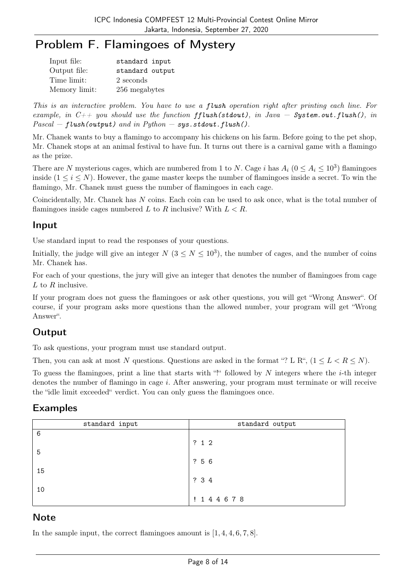# Problem F. Flamingoes of Mystery

| Input file:   | standard input  |
|---------------|-----------------|
| Output file:  | standard output |
| Time limit:   | 2 seconds       |
| Memory limit: | 256 megabytes   |

This is an interactive problem. You have to use a flush operation right after printing each line. For example, in  $C_{++}$  you should use the function fflush(stdout), in Java – System.out.flush(), in  $Pascal - flush(output)$  and in  $Python - sys.stdout. fluxh()$ .

Mr. Chanek wants to buy a flamingo to accompany his chickens on his farm. Before going to the pet shop, Mr. Chanek stops at an animal festival to have fun. It turns out there is a carnival game with a flamingo as the prize.

There are N mysterious cages, which are numbered from 1 to N. Cage i has  $A_i$  ( $0 \le A_i \le 10^3$ ) flamingoes inside  $(1 \le i \le N)$ . However, the game master keeps the number of flamingoes inside a secret. To win the flamingo, Mr. Chanek must guess the number of flamingoes in each cage.

Coincidentally, Mr. Chanek has N coins. Each coin can be used to ask once, what is the total number of flamingoes inside cages numbered L to R inclusive? With  $L < R$ .

### Input

Use standard input to read the responses of your questions.

Initially, the judge will give an integer  $N$  ( $3 \le N \le 10^3$ ), the number of cages, and the number of coins Mr. Chanek has.

For each of your questions, the jury will give an integer that denotes the number of flamingoes from cage  $L$  to  $R$  inclusive.

If your program does not guess the flamingoes or ask other questions, you will get "Wrong Answer". Of course, if your program asks more questions than the allowed number, your program will get "Wrong Answer".

## **Output**

To ask questions, your program must use standard output.

Then, you can ask at most N questions. Questions are asked in the format "? L R",  $(1 \leq L < R < N)$ .

To guess the flamingoes, print a line that starts with "!" followed by N integers where the  $i$ -th integer denotes the number of flamingo in cage i. After answering, your program must terminate or will receive the "idle limit exceeded" verdict. You can only guess the flamingoes once.

### Examples

| standard input | standard output |
|----------------|-----------------|
| 6              |                 |
|                | ? 1 2           |
| 5              |                 |
|                | ? 5 6           |
| 15             | ? 3 4           |
| 10             |                 |
|                | ! 144678        |

### **Note**

In the sample input, the correct flamingoes amount is  $[1, 4, 4, 6, 7, 8]$ .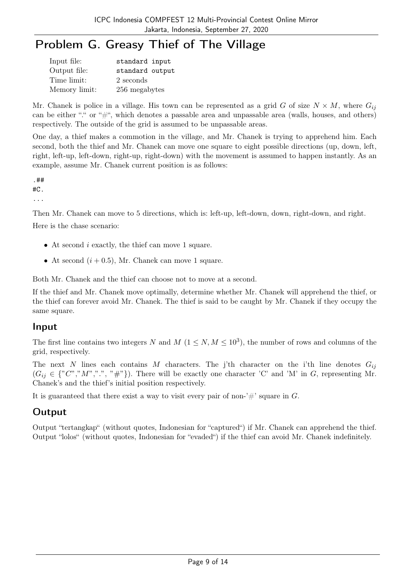# Problem G. Greasy Thief of The Village

| Input file:   | standard input  |
|---------------|-----------------|
| Output file:  | standard output |
| Time limit:   | 2 seconds       |
| Memory limit: | 256 megabytes   |

Mr. Chanek is police in a village. His town can be represented as a grid G of size  $N \times M$ , where  $G_{ij}$ can be either "." or " $\#$ ", which denotes a passable area and unpassable area (walls, houses, and others) respectively. The outside of the grid is assumed to be unpassable areas.

One day, a thief makes a commotion in the village, and Mr. Chanek is trying to apprehend him. Each second, both the thief and Mr. Chanek can move one square to eight possible directions (up, down, left, right, left-up, left-down, right-up, right-down) with the movement is assumed to happen instantly. As an example, assume Mr. Chanek current position is as follows:

.## #C. ...

Then Mr. Chanek can move to 5 directions, which is: left-up, left-down, down, right-down, and right.

Here is the chase scenario:

- At second  $i$  exactly, the thief can move 1 square.
- At second  $(i + 0.5)$ , Mr. Chanek can move 1 square.

Both Mr. Chanek and the thief can choose not to move at a second.

If the thief and Mr. Chanek move optimally, determine whether Mr. Chanek will apprehend the thief, or the thief can forever avoid Mr. Chanek. The thief is said to be caught by Mr. Chanek if they occupy the same square.

### Input

The first line contains two integers N and  $M$  ( $1 \le N, M \le 10^3$ ), the number of rows and columns of the grid, respectively.

The next N lines each contains M characters. The j'th character on the i'th line denotes  $G_{ij}$  $(G_{ij} \in \{T', T', T', T', T''\})$ . There will be exactly one character 'C' and 'M' in G, representing Mr. Chanek's and the thief's initial position respectively.

It is guaranteed that there exist a way to visit every pair of non-'#' square in  $G$ .

## **Output**

Output "tertangkap" (without quotes, Indonesian for "captured") if Mr. Chanek can apprehend the thief. Output "lolos" (without quotes, Indonesian for "evaded") if the thief can avoid Mr. Chanek indefinitely.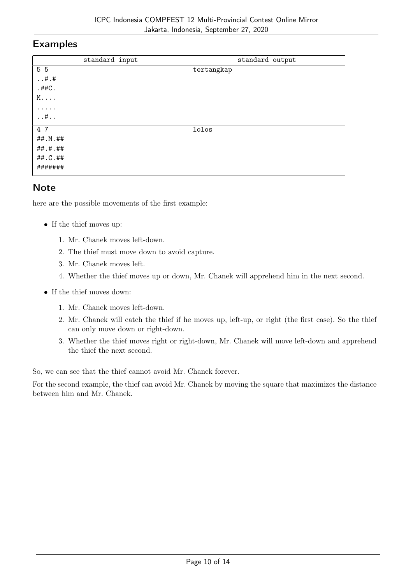#### Examples

| standard input    | standard output |
|-------------------|-----------------|
| 5 5               | tertangkap      |
| $\dots$ #.#       |                 |
| $.$ ## $C.$       |                 |
| $M \ldots$        |                 |
| .                 |                 |
| $\dots$ # $\dots$ |                 |
| 4 7               | lolos           |
| ##.M.##           |                 |
| ##.#.##           |                 |
| ##.C.##           |                 |
| #######           |                 |
|                   |                 |

### **Note**

here are the possible movements of the first example:

- If the thief moves up:
	- 1. Mr. Chanek moves left-down.
	- 2. The thief must move down to avoid capture.
	- 3. Mr. Chanek moves left.
	- 4. Whether the thief moves up or down, Mr. Chanek will apprehend him in the next second.
- If the thief moves down:
	- 1. Mr. Chanek moves left-down.
	- 2. Mr. Chanek will catch the thief if he moves up, left-up, or right (the first case). So the thief can only move down or right-down.
	- 3. Whether the thief moves right or right-down, Mr. Chanek will move left-down and apprehend the thief the next second.

So, we can see that the thief cannot avoid Mr. Chanek forever.

For the second example, the thief can avoid Mr. Chanek by moving the square that maximizes the distance between him and Mr. Chanek.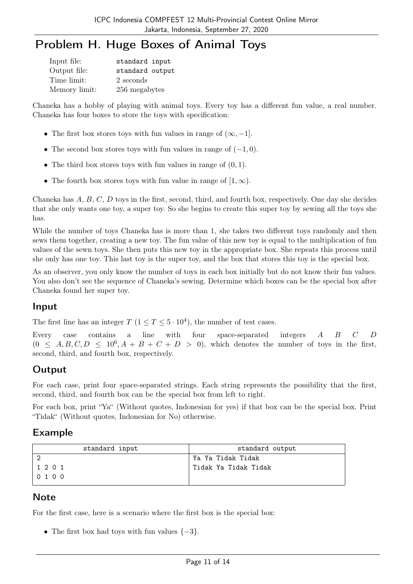# Problem H. Huge Boxes of Animal Toys

| Input file:   | standard input  |
|---------------|-----------------|
| Output file:  | standard output |
| Time limit:   | 2 seconds       |
| Memory limit: | 256 megabytes   |

Chaneka has a hobby of playing with animal toys. Every toy has a different fun value, a real number. Chaneka has four boxes to store the toys with specification:

- The first box stores toys with fun values in range of  $(\infty, -1]$ .
- The second box stores toys with fun values in range of  $(-1, 0)$ .
- The third box stores toys with fun values in range of  $(0, 1)$ .
- The fourth box stores toys with fun value in range of  $[1, \infty)$ .

Chaneka has A, B, C, D toys in the first, second, third, and fourth box, respectively. One day she decides that she only wants one toy, a super toy. So she begins to create this super toy by sewing all the toys she has.

While the number of toys Chaneka has is more than 1, she takes two different toys randomly and then sews them together, creating a new toy. The fun value of this new toy is equal to the multiplication of fun values of the sewn toys. She then puts this new toy in the appropriate box. She repeats this process until she only has one toy. This last toy is the super toy, and the box that stores this toy is the special box.

As an observer, you only know the number of toys in each box initially but do not know their fun values. You also don't see the sequence of Chaneka's sewing. Determine which boxes can be the special box after Chaneka found her super toy.

### Input

The first line has an integer  $T$   $(1 \le T \le 5 \cdot 10^4)$ , the number of test cases.

Every case contains a line with four space-separated integers A B C D  $(0 \leq A, B, C, D \leq 10^6, A + B + C + D > 0)$ , which denotes the number of toys in the first, second, third, and fourth box, respectively.

## **Output**

For each case, print four space-separated strings. Each string represents the possibility that the first, second, third, and fourth box can be the special box from left to right.

For each box, print "Ya" (Without quotes, Indonesian for yes) if that box can be the special box. Print "Tidak" (Without quotes, Indonesian for No) otherwise.

### Example

| standard input | standard output      |
|----------------|----------------------|
|                | Ya Ya Tidak Tidak    |
| 1 2 0 1        | Tidak Ya Tidak Tidak |
| 0100           |                      |

### **Note**

For the first case, here is a scenario where the first box is the special box:

• The first box had toys with fun values  $\{-3\}$ .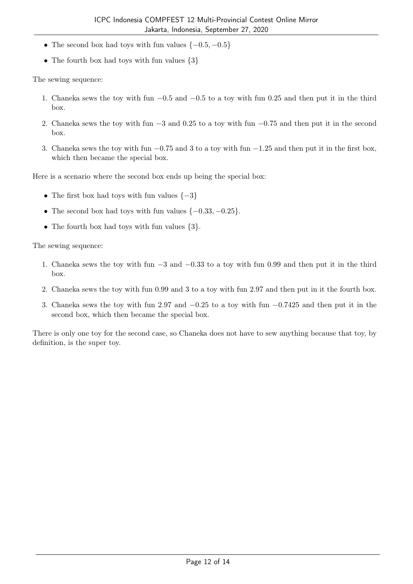- The second box had toys with fun values  $\{-0.5, -0.5\}$
- The fourth box had toys with fun values  $\{3\}$

The sewing sequence:

- 1. Chaneka sews the toy with fun −0.5 and −0.5 to a toy with fun 0.25 and then put it in the third box.
- 2. Chaneka sews the toy with fun −3 and 0.25 to a toy with fun −0.75 and then put it in the second box.
- 3. Chaneka sews the toy with fun −0.75 and 3 to a toy with fun −1.25 and then put it in the first box, which then became the special box.

Here is a scenario where the second box ends up being the special box:

- The first box had toys with fun values  $\{-3\}$
- The second box had toys with fun values  $\{-0.33, -0.25\}$ .
- The fourth box had toys with fun values  $\{3\}$ .

The sewing sequence:

- 1. Chaneka sews the toy with fun −3 and −0.33 to a toy with fun 0.99 and then put it in the third box.
- 2. Chaneka sews the toy with fun 0.99 and 3 to a toy with fun 2.97 and then put in it the fourth box.
- 3. Chaneka sews the toy with fun 2.97 and −0.25 to a toy with fun −0.7425 and then put it in the second box, which then became the special box.

There is only one toy for the second case, so Chaneka does not have to sew anything because that toy, by definition, is the super toy.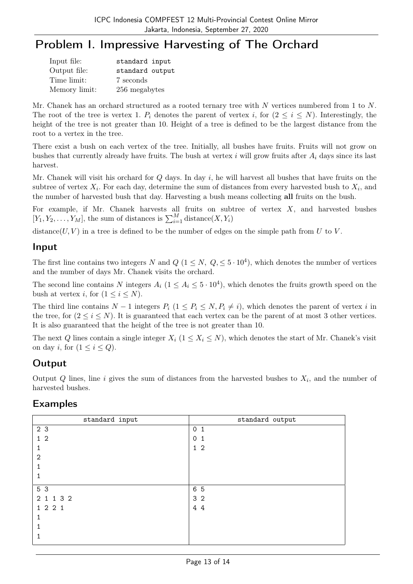# Problem I. Impressive Harvesting of The Orchard

| Input file:   | standard input  |
|---------------|-----------------|
| Output file:  | standard output |
| Time limit:   | 7 seconds       |
| Memory limit: | 256 megabytes   |

Mr. Chanek has an orchard structured as a rooted ternary tree with N vertices numbered from 1 to N. The root of the tree is vertex 1.  $P_i$  denotes the parent of vertex i, for  $(2 \le i \le N)$ . Interestingly, the height of the tree is not greater than 10. Height of a tree is defined to be the largest distance from the root to a vertex in the tree.

There exist a bush on each vertex of the tree. Initially, all bushes have fruits. Fruits will not grow on bushes that currently already have fruits. The bush at vertex  $i$  will grow fruits after  $A_i$  days since its last harvest.

Mr. Chanek will visit his orchard for  $Q$  days. In day  $i$ , he will harvest all bushes that have fruits on the subtree of vertex  $X_i$ . For each day, determine the sum of distances from every harvested bush to  $X_i$ , and the number of harvested bush that day. Harvesting a bush means collecting all fruits on the bush.

For example, if Mr. Chanek harvests all fruits on subtree of vertex  $X$ , and harvested bushes  $[Y_1, Y_2, \ldots, Y_M]$ , the sum of distances is  $\sum_{i=1}^M \text{distance}(X, Y_i)$ 

distance( $U, V$ ) in a tree is defined to be the number of edges on the simple path from U to V.

### Input

The first line contains two integers N and  $Q$   $(1 \leq N, Q, \leq 5 \cdot 10^4)$ , which denotes the number of vertices and the number of days Mr. Chanek visits the orchard.

The second line contains N integers  $A_i$   $(1 \leq A_i \leq 5 \cdot 10^4)$ , which denotes the fruits growth speed on the bush at vertex *i*, for  $(1 \le i \le N)$ .

The third line contains  $N-1$  integers  $P_i$   $(1 \leq P_i \leq N, P_i \neq i)$ , which denotes the parent of vertex i in the tree, for  $(2 \le i \le N)$ . It is guaranteed that each vertex can be the parent of at most 3 other vertices. It is also guaranteed that the height of the tree is not greater than 10.

The next Q lines contain a single integer  $X_i$   $(1 \le X_i \le N)$ , which denotes the start of Mr. Chanek's visit on day *i*, for  $(1 \leq i \leq Q)$ .

## Output

Output Q lines, line i gives the sum of distances from the harvested bushes to  $X_i$ , and the number of harvested bushes.

## Examples

| standard input | standard output             |
|----------------|-----------------------------|
| 2 3            | 0 <sub>1</sub>              |
| 1 <sub>2</sub> | $\mathbf 0$<br>$\mathbf{1}$ |
|                | $1\,2$                      |
| 2              |                             |
|                |                             |
|                |                             |
| 5 3            | 6 5                         |
| 2 1 1 3 2      | 3 <sub>2</sub>              |
| 1 2 2 1        | 4 4                         |
|                |                             |
|                |                             |
|                |                             |